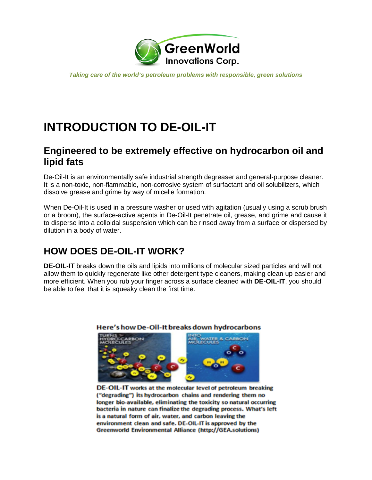

*Taking care of the world's petroleum problems with responsible, green solutions*

# **INTRODUCTION TO DE-OIL-IT**

#### **Engineered to be extremely effective on hydrocarbon oil and lipid fats**

De-Oil-It is an environmentally safe industrial strength degreaser and general-purpose cleaner. It is a non-toxic, non-flammable, non-corrosive system of surfactant and oil solubilizers, which dissolve grease and grime by way of micelle formation.

When De-Oil-It is used in a pressure washer or used with agitation (usually using a scrub brush or a broom), the surface-active agents in De-Oil-It penetrate oil, grease, and grime and cause it to disperse into a colloidal suspension which can be rinsed away from a surface or dispersed by dilution in a body of water.

### **HOW DOES DE-OIL-IT WORK?**

**DE-OIL-IT** breaks down the oils and lipids into millions of molecular sized particles and will not allow them to quickly regenerate like other detergent type cleaners, making clean up easier and more efficient. When you rub your finger across a surface cleaned with **DE-OIL-IT**, you should be able to feel that it is squeaky clean the first time.



#### Here's how De-Oil-It breaks down hydrocarbons

DE-OIL-IT works at the molecular level of petroleum breaking ("degrading") its hydrocarbon chains and rendering them no longer bio-available, eliminating the toxicity so natural occurring bacteria in nature can finalize the degrading process. What's left is a natural form of air, water, and carbon leaving the environment clean and safe. DE-OIL-IT is approved by the Greenworld Environmental Alliance (http://GEA.solutions)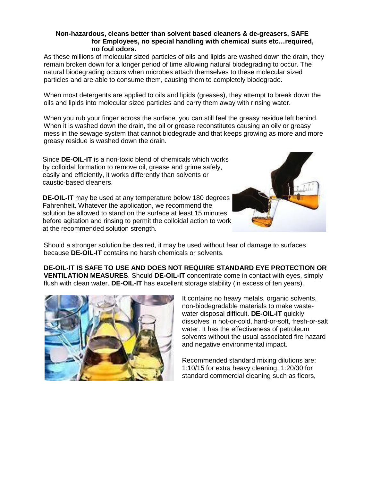#### **Non-hazardous, cleans better than solvent based cleaners & de-greasers, SAFE for Employees, no special handling with chemical suits etc…required, no foul odors.**

As these millions of molecular sized particles of oils and lipids are washed down the drain, they remain broken down for a longer period of time allowing natural biodegrading to occur. The natural biodegrading occurs when microbes attach themselves to these molecular sized particles and are able to consume them, causing them to completely biodegrade.

When most detergents are applied to oils and lipids (greases), they attempt to break down the oils and lipids into molecular sized particles and carry them away with rinsing water.

When you rub your finger across the surface, you can still feel the greasy residue left behind. When it is washed down the drain, the oil or grease reconstitutes causing an oily or greasy mess in the sewage system that cannot biodegrade and that keeps growing as more and more greasy residue is washed down the drain.

Since **DE-OIL-IT** is a non-toxic blend of chemicals which works by colloidal formation to remove oil, grease and grime safely, easily and efficiently, it works differently than solvents or caustic-based cleaners.

**DE-OIL-IT** may be used at any temperature below 180 degrees Fahrenheit. Whatever the application, we recommend the solution be allowed to stand on the surface at least 15 minutes before agitation and rinsing to permit the colloidal action to work at the recommended solution strength.



Should a stronger solution be desired, it may be used without fear of damage to surfaces because **DE-OIL-IT** contains no harsh chemicals or solvents.

**DE-OIL-IT IS SAFE TO USE AND DOES NOT REQUIRE STANDARD EYE PROTECTION OR VENTILATION MEASURES**. Should **DE-OIL-IT** concentrate come in contact with eyes, simply flush with clean water. **DE-OIL-IT** has excellent storage stability (in excess of ten years).



It contains no heavy metals, organic solvents, non-biodegradable materials to make wastewater disposal difficult. **DE-OIL-IT** quickly dissolves in hot-or-cold, hard-or-soft, fresh-or-salt water. It has the effectiveness of petroleum solvents without the usual associated fire hazard and negative environmental impact.

Recommended standard mixing dilutions are: 1:10/15 for extra heavy cleaning, 1:20/30 for standard commercial cleaning such as floors,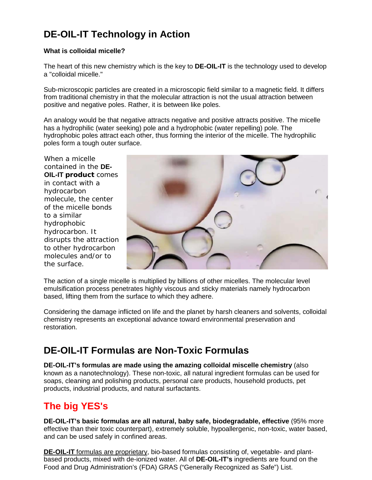## **DE-OIL-IT Technology in Action**

#### **What is colloidal micelle?**

The heart of this new chemistry which is the key to **DE-OIL-IT** is the technology used to develop a "colloidal micelle."

Sub-microscopic particles are created in a microscopic field similar to a magnetic field. It differs from traditional chemistry in that the molecular attraction is not the usual attraction between positive and negative poles. Rather, it is between like poles.

An analogy would be that negative attracts negative and positive attracts positive. The micelle has a hydrophilic (water seeking) pole and a hydrophobic (water repelling) pole. The hydrophobic poles attract each other, thus forming the interior of the micelle. The hydrophilic poles form a tough outer surface.

When a micelle contained in the **DE-OIL-IT product** comes in contact with a hydrocarbon molecule, the center of the micelle bonds to a similar hydrophobic hydrocarbon. It disrupts the attraction to other hydrocarbon molecules and/or to the surface.



The action of a single micelle is multiplied by billions of other micelles. The molecular level emulsification process penetrates highly viscous and sticky materials namely hydrocarbon based, lifting them from the surface to which they adhere.

Considering the damage inflicted on life and the planet by harsh cleaners and solvents, colloidal chemistry represents an exceptional advance toward environmental preservation and restoration.

### **DE-OIL-IT Formulas are Non-Toxic Formulas**

**DE-OIL-IT's formulas are made using the amazing colloidal miscelle chemistry** (also known as a nanotechnology). These non-toxic, all natural ingredient formulas can be used for soaps, cleaning and polishing products, personal care products, household products, pet products, industrial products, and natural surfactants.

### **The big YES's**

**DE-OIL-IT's basic formulas are all natural, baby safe, biodegradable, effective** (95% more effective than their toxic counterpart), extremely soluble, hypoallergenic, non-toxic, water based, and can be used safely in confined areas.

**DE-OIL-IT** formulas are proprietary, bio-based formulas consisting of, vegetable- and plantbased products, mixed with de-ionized water. All of **DE-OIL-IT's** ingredients are found on the Food and Drug Administration's (FDA) GRAS ("Generally Recognized as Safe") List.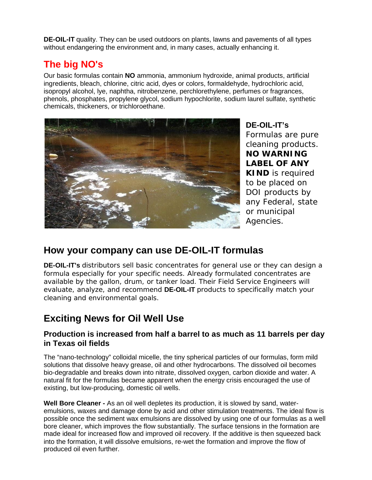**DE-OIL-IT** quality. They can be used outdoors on plants, lawns and pavements of all types without endangering the environment and, in many cases, actually enhancing it.

### **The big NO's**

Our basic formulas contain **NO** ammonia, ammonium hydroxide, animal products, artificial ingredients, bleach, chlorine, citric acid, dyes or colors, formaldehyde, hydrochloric acid, isopropyl alcohol, lye, naphtha, nitrobenzene, perchlorethylene, perfumes or fragrances, phenols, phosphates, propylene glycol, sodium hypochlorite, sodium laurel sulfate, synthetic chemicals, thickeners, or trichloroethane.



**DE-OIL-IT's** Formulas are pure cleaning products. **NO WARNING LABEL OF ANY KIND** is required to be placed on DOI products by any Federal, state or municipal Agencies.

### **How your company can use DE-OIL-IT formulas**

**DE-OIL-IT's** distributors sell basic concentrates for general use or they can design a formula especially for your specific needs. Already formulated concentrates are available by the gallon, drum, or tanker load. Their Field Service Engineers will evaluate, analyze, and recommend **DE-OIL-IT** products to specifically match your cleaning and environmental goals.

### **Exciting News for Oil Well Use**

#### **Production is increased from half a barrel to as much as 11 barrels per day in Texas oil fields**

The "nano-technology" colloidal micelle, the tiny spherical particles of our formulas, form mild solutions that dissolve heavy grease, oil and other hydrocarbons. The dissolved oil becomes bio-degradable and breaks down into nitrate, dissolved oxygen, carbon dioxide and water. A natural fit for the formulas became apparent when the energy crisis encouraged the use of existing, but low-producing, domestic oil wells.

**Well Bore Cleaner -** As an oil well depletes its production, it is slowed by sand, wateremulsions, waxes and damage done by acid and other stimulation treatments. The ideal flow is possible once the sediment wax emulsions are dissolved by using one of our formulas as a well bore cleaner, which improves the flow substantially. The surface tensions in the formation are made ideal for increased flow and improved oil recovery. If the additive is then squeezed back into the formation, it will dissolve emulsions, re-wet the formation and improve the flow of produced oil even further.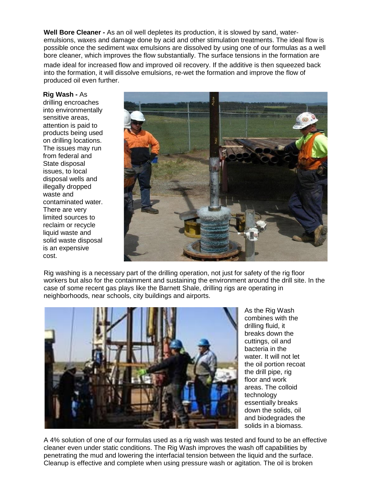**Well Bore Cleaner -** As an oil well depletes its production, it is slowed by sand, wateremulsions, waxes and damage done by acid and other stimulation treatments. The ideal flow is possible once the sediment wax emulsions are dissolved by using one of our formulas as a well bore cleaner, which improves the flow substantially. The surface tensions in the formation are made ideal for increased flow and improved oil recovery. If the additive is then squeezed back into the formation, it will dissolve emulsions, re-wet the formation and improve the flow of produced oil even further.

**Rig Wash -** As

drilling encroaches into environmentally sensitive areas, attention is paid to products being used on drilling locations. The issues may run from federal and State disposal issues, to local disposal wells and illegally dropped waste and contaminated water. There are very limited sources to reclaim or recycle liquid waste and solid waste disposal is an expensive cost.



Rig washing is a necessary part of the drilling operation, not just for safety of the rig floor workers but also for the containment and sustaining the environment around the drill site. In the case of some recent gas plays like the Barnett Shale, drilling rigs are operating in neighborhoods, near schools, city buildings and airports.



As the Rig Wash combines with the drilling fluid, it breaks down the cuttings, oil and bacteria in the water. It will not let the oil portion recoat the drill pipe, rig floor and work areas. The colloid technology essentially breaks down the solids, oil and biodegrades the solids in a biomass.

A 4% solution of one of our formulas used as a rig wash was tested and found to be an effective cleaner even under static conditions. The Rig Wash improves the wash off capabilities by penetrating the mud and lowering the interfacial tension between the liquid and the surface. Cleanup is effective and complete when using pressure wash or agitation. The oil is broken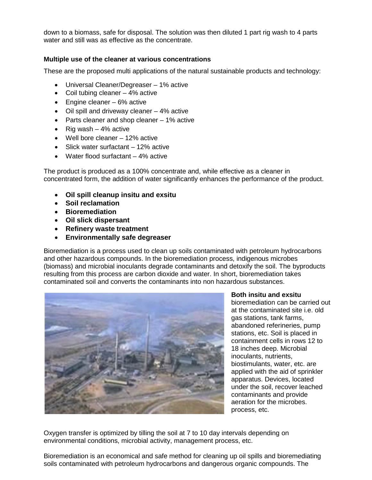down to a biomass, safe for disposal. The solution was then diluted 1 part rig wash to 4 parts water and still was as effective as the concentrate.

#### **Multiple use of the cleaner at various concentrations**

These are the proposed multi applications of the natural sustainable products and technology:

- Universal Cleaner/Degreaser 1% active
- Coil tubing cleaner 4% active
- Engine cleaner 6% active
- Oil spill and driveway cleaner 4% active
- Parts cleaner and shop cleaner 1% active
- Rig wash  $-4\%$  active
- Well bore cleaner 12% active
- Slick water surfactant 12% active
- Water flood surfactant 4% active

The product is produced as a 100% concentrate and, while effective as a cleaner in concentrated form, the addition of water significantly enhances the performance of the product.

- **Oil spill cleanup insitu and exsitu**
- **Soil reclamation**
- **Bioremediation**
- **Oil slick dispersant**
- **Refinery waste treatment**
- **Environmentally safe degreaser**

Bioremediation is a process used to clean up soils contaminated with petroleum hydrocarbons and other hazardous compounds. In the bioremediation process, indigenous microbes (biomass) and microbial inoculants degrade contaminants and detoxify the soil. The byproducts resulting from this process are carbon dioxide and water. In short, bioremediation takes contaminated soil and converts the contaminants into non hazardous substances.



**Both insitu and exsitu** 

bioremediation can be carried out at the contaminated site i.e. old gas stations, tank farms, abandoned referineries, pump stations, etc. Soil is placed in containment cells in rows 12 to 18 inches deep. Microbial inoculants, nutrients, biostimulants, water, etc. are applied with the aid of sprinkler apparatus. Devices, located under the soil, recover leached contaminants and provide aeration for the microbes. process, etc.

Oxygen transfer is optimized by tilling the soil at 7 to 10 day intervals depending on environmental conditions, microbial activity, management process, etc.

Bioremediation is an economical and safe method for cleaning up oil spills and bioremediating soils contaminated with petroleum hydrocarbons and dangerous organic compounds. The